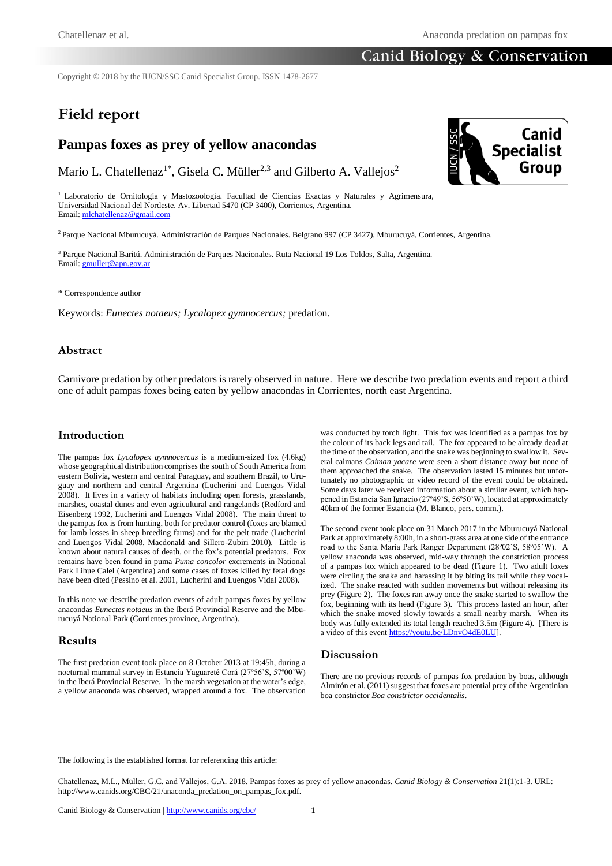# Canid Biology & Conservation

Copyright © 2018 by the IUCN/SSC Canid Specialist Group. ISSN 1478-2677

# **Field report**

# **Pampas foxes as prey of yellow anacondas**

Mario L. Chatellenaz<sup>1\*</sup>, Gisela C. Müller<sup>2,3</sup> and Gilberto A. Vallejos<sup>2</sup>

<sup>1</sup> Laboratorio de Ornitología y Mastozoología. Facultad de Ciencias Exactas y Naturales y Agrimensura, Universidad Nacional del Nordeste. Av. Libertad 5470 (CP 3400), Corrientes, Argentina. Email[: mlchatellenaz@gmail.com](mailto:mlchatellenaz@gmail.com)

<sup>2</sup>Parque Nacional Mburucuyá. Administración de Parques Nacionales. Belgrano 997 (CP 3427), Mburucuyá, Corrientes, Argentina.

<sup>3</sup> Parque Nacional Baritú. Administración de Parques Nacionales. Ruta Nacional 19 Los Toldos, Salta, Argentina. Email[: gmuller@apn.gov.ar](mailto:gmuller@apn.gov.ar)

\* Correspondence author

Keywords: *Eunectes notaeus; Lycalopex gymnocercus;* predation.

#### **Abstract**

Carnivore predation by other predators is rarely observed in nature. Here we describe two predation events and report a third one of adult pampas foxes being eaten by yellow anacondas in Corrientes, north east Argentina.

#### **Introduction**

The pampas fox *Lycalopex gymnocercus* is a medium-sized fox (4.6kg) whose geographical distribution comprises the south of South America from eastern Bolivia, western and central Paraguay, and southern Brazil, to Uruguay and northern and central Argentina (Lucherini and Luengos Vidal 2008). It lives in a variety of habitats including open forests, grasslands, marshes, coastal dunes and even agricultural and rangelands (Redford and Eisenberg 1992, Lucherini and Luengos Vidal 2008). The main threat to the pampas fox is from hunting, both for predator control (foxes are blamed for lamb losses in sheep breeding farms) and for the pelt trade (Lucherini and Luengos Vidal 2008, Macdonald and Sillero-Zubiri 2010). Little is known about natural causes of death, or the fox's potential predators. Fox remains have been found in puma *Puma concolor* excrements in National Park Lihue Calel (Argentina) and some cases of foxes killed by feral dogs have been cited (Pessino et al. 2001, Lucherini and Luengos Vidal 2008).

In this note we describe predation events of adult pampas foxes by yellow anacondas *Eunectes notaeus* in the Iberá Provincial Reserve and the Mburucuyá National Park (Corrientes province, Argentina).

#### **Results**

The first predation event took place on 8 October 2013 at 19:45h, during a nocturnal mammal survey in Estancia Yaguareté Corá (27º56'S, 57º00'W) in the Iberá Provincial Reserve. In the marsh vegetation at the water's edge, a yellow anaconda was observed, wrapped around a fox. The observation was conducted by torch light. This fox was identified as a pampas fox by the colour of its back legs and tail. The fox appeared to be already dead at the time of the observation, and the snake was beginning to swallow it. Several caimans *Caiman yacare* were seen a short distance away but none of them approached the snake. The observation lasted 15 minutes but unfortunately no photographic or video record of the event could be obtained. Some days later we received information about a similar event, which happened in Estancia San Ignacio (27º49'S, 56º50'W), located at approximately 40km of the former Estancia (M. Blanco, pers. comm.).

The second event took place on 31 March 2017 in the Mburucuyá National Park at approximately 8:00h, in a short-grass area at one side of the entrance road to the Santa María Park Ranger Department (28º02'S, 58º05'W). A yellow anaconda was observed, mid-way through the constriction process of a pampas fox which appeared to be dead (Figure 1). Two adult foxes were circling the snake and harassing it by biting its tail while they vocalized. The snake reacted with sudden movements but without releasing its prey (Figure 2). The foxes ran away once the snake started to swallow the fox, beginning with its head (Figure 3). This process lasted an hour, after which the snake moved slowly towards a small nearby marsh. When its body was fully extended its total length reached 3.5m (Figure 4). [There is a video of this even[t https://youtu.be/LDnvO4dE0LU\]](https://youtu.be/LDnvO4dE0LU).

#### **Discussion**

There are no previous records of pampas fox predation by boas, although Almirón et al. (2011) suggest that foxes are potential prey of the Argentinian boa constrictor *Boa constrictor occidentalis*.

The following is the established format for referencing this article:

Chatellenaz, M.L., Müller, G.C. and Vallejos, G.A. 2018. Pampas foxes as prey of yellow anacondas. *Canid Biology & Conservation* 21(1):1-3. URL: http://www.canids.org/CBC/21/anaconda\_predation\_on\_pampas\_fox.pdf.

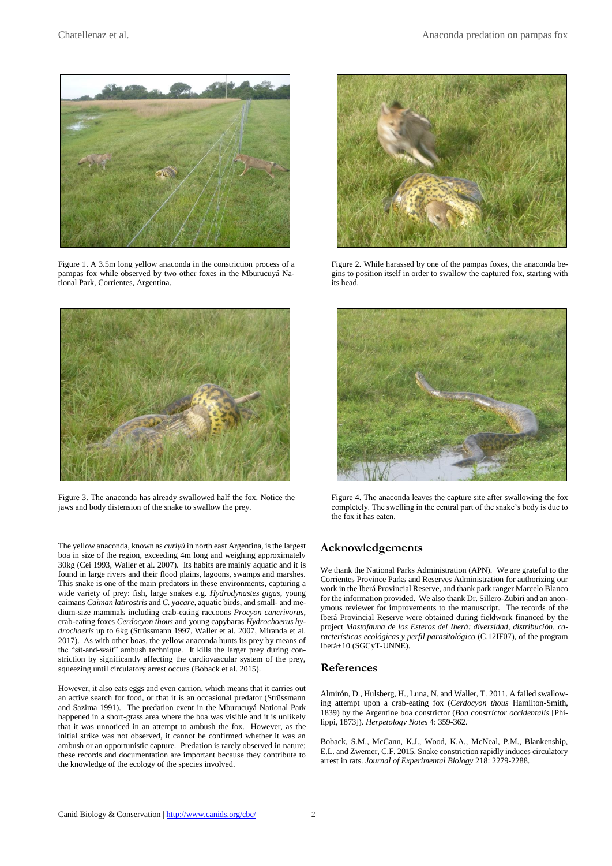

Figure 1. A 3.5m long yellow anaconda in the constriction process of a pampas fox while observed by two other foxes in the Mburucuyá National Park, Corrientes, Argentina.



Figure 3. The anaconda has already swallowed half the fox. Notice the jaws and body distension of the snake to swallow the prey.

The yellow anaconda, known as *curiyú* in north east Argentina, is the largest boa in size of the region, exceeding 4m long and weighing approximately 30kg (Cei 1993, Waller et al. 2007). Its habits are mainly aquatic and it is found in large rivers and their flood plains, lagoons, swamps and marshes. This snake is one of the main predators in these environments, capturing a wide variety of prey: fish, large snakes e.g. *Hydrodynastes gigas*, young caimans *Caiman latirostris* and *C. yacare*, aquatic birds, and small- and medium-size mammals including crab-eating raccoons *Procyon cancrivorus*, crab-eating foxes *Cerdocyon thous* and young capybaras *Hydrochoerus hydrochaeris* up to 6kg (Strüssmann 1997, Waller et al. 2007, Miranda et al. 2017). As with other boas, the yellow anaconda hunts its prey by means of the "sit-and-wait" ambush technique. It kills the larger prey during constriction by significantly affecting the cardiovascular system of the prey, squeezing until circulatory arrest occurs (Boback et al. 2015).

However, it also eats eggs and even carrion, which means that it carries out an active search for food, or that it is an occasional predator (Strüssmann and Sazima 1991). The predation event in the Mburucuyá National Park happened in a short-grass area where the boa was visible and it is unlikely that it was unnoticed in an attempt to ambush the fox. However, as the initial strike was not observed, it cannot be confirmed whether it was an ambush or an opportunistic capture. Predation is rarely observed in nature; these records and documentation are important because they contribute to the knowledge of the ecology of the species involved.



Figure 2. While harassed by one of the pampas foxes, the anaconda begins to position itself in order to swallow the captured fox, starting with its head.



Figure 4. The anaconda leaves the capture site after swallowing the fox completely. The swelling in the central part of the snake's body is due to the fox it has eaten.

## **Acknowledgements**

We thank the National Parks Administration (APN). We are grateful to the Corrientes Province Parks and Reserves Administration for authorizing our work in the Iberá Provincial Reserve, and thank park ranger Marcelo Blanco for the information provided. We also thank Dr. Sillero-Zubiri and an anonymous reviewer for improvements to the manuscript. The records of the Iberá Provincial Reserve were obtained during fieldwork financed by the project *Mastofauna de los Esteros del Iberá: diversidad, distribución, características ecológicas y perfil parasitológico* (C.12IF07), of the program Iberá+10 (SGCyT-UNNE).

### **References**

Almirón, D., Hulsberg, H., Luna, N. and Waller, T. 2011. A failed swallowing attempt upon a crab-eating fox (*Cerdocyon thous* Hamilton-Smith, 1839) by the Argentine boa constrictor (*Boa constrictor occidentalis* [Philippi, 1873]). *Herpetology Notes* 4: 359-362.

Boback, S.M., McCann, K.J., Wood, K.A., McNeal, P.M., Blankenship, E.L. and Zwemer, C.F. 2015. Snake constriction rapidly induces circulatory arrest in rats. *Journal of Experimental Biology* 218: 2279-2288.